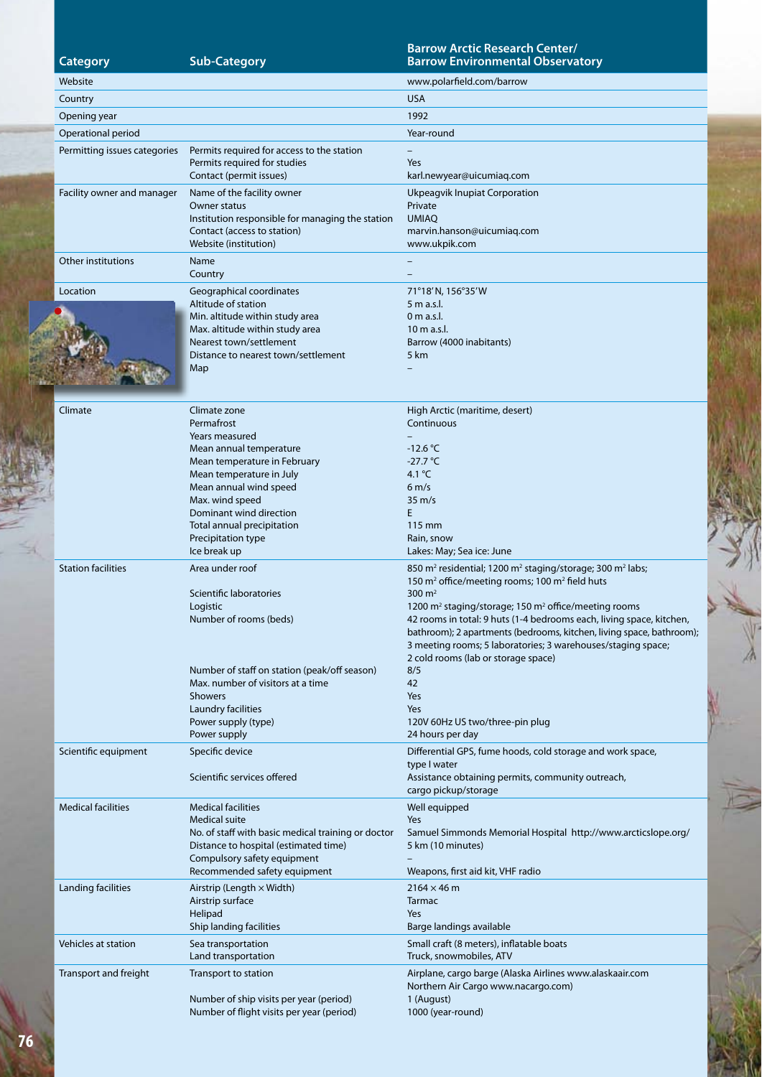# **Category Sub-Category**

### **Barrow Arctic Research Center/ Barrow Environmental Observatory**

| Website                      |                                                                                                                                                                                                                                                   | www.polarfield.com/barrow                                                                                                                                                                                                                                                                                                                                                                                                 |
|------------------------------|---------------------------------------------------------------------------------------------------------------------------------------------------------------------------------------------------------------------------------------------------|---------------------------------------------------------------------------------------------------------------------------------------------------------------------------------------------------------------------------------------------------------------------------------------------------------------------------------------------------------------------------------------------------------------------------|
| Country                      |                                                                                                                                                                                                                                                   | <b>USA</b>                                                                                                                                                                                                                                                                                                                                                                                                                |
| Opening year                 |                                                                                                                                                                                                                                                   | 1992                                                                                                                                                                                                                                                                                                                                                                                                                      |
| Operational period           |                                                                                                                                                                                                                                                   | Year-round                                                                                                                                                                                                                                                                                                                                                                                                                |
| Permitting issues categories | Permits required for access to the station<br>Permits required for studies<br>Contact (permit issues)                                                                                                                                             | Yes<br>karl.newyear@uicumiaq.com                                                                                                                                                                                                                                                                                                                                                                                          |
| Facility owner and manager   | Name of the facility owner<br>Owner status<br>Institution responsible for managing the station<br>Contact (access to station)<br>Website (institution)                                                                                            | Ukpeagvik Inupiat Corporation<br>Private<br><b>UMIAQ</b><br>marvin.hanson@uicumiaq.com<br>www.ukpik.com                                                                                                                                                                                                                                                                                                                   |
| Other institutions           | Name<br>Country                                                                                                                                                                                                                                   |                                                                                                                                                                                                                                                                                                                                                                                                                           |
| Location                     | Geographical coordinates<br>Altitude of station                                                                                                                                                                                                   | 71°18'N, 156°35'W<br>5 m a.s.l.                                                                                                                                                                                                                                                                                                                                                                                           |
|                              | Min. altitude within study area<br>Max. altitude within study area<br>Nearest town/settlement<br>Distance to nearest town/settlement<br>Map                                                                                                       | $0m$ a.s.l.<br>10 m a.s.l.<br>Barrow (4000 inabitants)<br>5 km                                                                                                                                                                                                                                                                                                                                                            |
| Climate                      | Climate zone<br>Permafrost                                                                                                                                                                                                                        | High Arctic (maritime, desert)<br>Continuous                                                                                                                                                                                                                                                                                                                                                                              |
|                              | Years measured<br>Mean annual temperature<br>Mean temperature in February<br>Mean temperature in July<br>Mean annual wind speed<br>Max. wind speed<br>Dominant wind direction<br>Total annual precipitation<br>Precipitation type<br>Ice break up | $-12.6 °C$<br>$-27.7 °C$<br>4.1 $^{\circ}$ C<br>$6 \, \text{m/s}$<br>$35 \text{ m/s}$<br>E.<br>115 mm<br>Rain, snow<br>Lakes: May; Sea ice: June                                                                                                                                                                                                                                                                          |
| <b>Station facilities</b>    | Area under roof                                                                                                                                                                                                                                   | 850 m <sup>2</sup> residential; 1200 m <sup>2</sup> staging/storage; 300 m <sup>2</sup> labs;                                                                                                                                                                                                                                                                                                                             |
|                              | Scientific laboratories<br>Logistic<br>Number of rooms (beds)                                                                                                                                                                                     | 150 m <sup>2</sup> office/meeting rooms; 100 m <sup>2</sup> field huts<br>300 $m2$<br>1200 m <sup>2</sup> staging/storage; 150 m <sup>2</sup> office/meeting rooms<br>42 rooms in total: 9 huts (1-4 bedrooms each, living space, kitchen,<br>bathroom); 2 apartments (bedrooms, kitchen, living space, bathroom);<br>3 meeting rooms; 5 laboratories; 3 warehouses/staging space;<br>2 cold rooms (lab or storage space) |
|                              | Number of staff on station (peak/off season)<br>Max, number of visitors at a time<br><b>Showers</b><br>Laundry facilities<br>Power supply (type)<br>Power supply                                                                                  | 8/5<br>42<br>Yes<br>Yes<br>120V 60Hz US two/three-pin plug<br>24 hours per day                                                                                                                                                                                                                                                                                                                                            |
| Scientific equipment         | Specific device<br>Scientific services offered                                                                                                                                                                                                    | Differential GPS, fume hoods, cold storage and work space,<br>type I water<br>Assistance obtaining permits, community outreach,<br>cargo pickup/storage                                                                                                                                                                                                                                                                   |
| <b>Medical facilities</b>    | <b>Medical facilities</b><br><b>Medical suite</b><br>No. of staff with basic medical training or doctor<br>Distance to hospital (estimated time)<br>Compulsory safety equipment<br>Recommended safety equipment                                   | Well equipped<br>Yes<br>Samuel Simmonds Memorial Hospital http://www.arcticslope.org/<br>5 km (10 minutes)<br>Weapons, first aid kit, VHF radio                                                                                                                                                                                                                                                                           |
| Landing facilities           | Airstrip (Length $\times$ Width)<br>Airstrip surface<br>Helipad<br>Ship landing facilities                                                                                                                                                        | $2164 \times 46$ m<br>Tarmac<br>Yes<br>Barge landings available                                                                                                                                                                                                                                                                                                                                                           |
| Vehicles at station          | Sea transportation<br>Land transportation                                                                                                                                                                                                         | Small craft (8 meters), inflatable boats<br>Truck, snowmobiles, ATV                                                                                                                                                                                                                                                                                                                                                       |
| Transport and freight        | Transport to station<br>Number of ship visits per year (period)<br>Number of flight visits per year (period)                                                                                                                                      | Airplane, cargo barge (Alaska Airlines www.alaskaair.com<br>Northern Air Cargo www.nacargo.com)<br>1 (August)<br>1000 (year-round)                                                                                                                                                                                                                                                                                        |